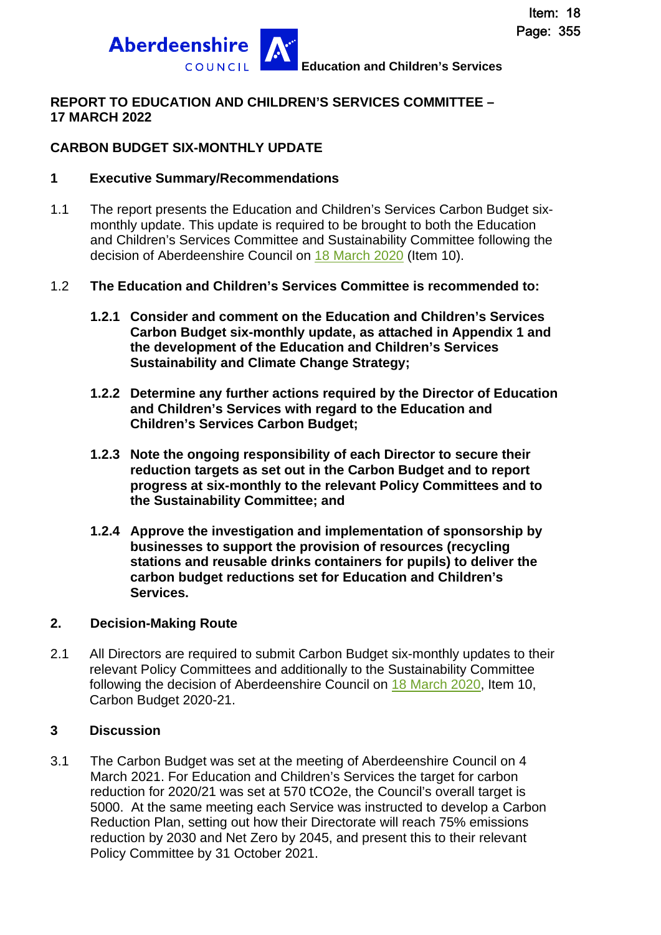

### **REPORT TO EDUCATION AND CHILDREN'S SERVICES COMMITTEE – 17 MARCH 2022**

### **CARBON BUDGET SIX-MONTHLY UPDATE**

### **1 Executive Summary/Recommendations**

1.1 The report presents the Education and Children's Services Carbon Budget sixmonthly update. This update is required to be brought to both the Education and Children's Services Committee and Sustainability Committee following the decision of Aberdeenshire Council on [18 March 2020](https://committees.aberdeenshire.gov.uk/committees.aspx?commid=1&meetid=19691) (Item 10).

### 1.2 **The Education and Children's Services Committee is recommended to:**

- **1.2.1 Consider and comment on the Education and Children's Services Carbon Budget six-monthly update, as attached in Appendix 1 and the development of the Education and Children's Services Sustainability and Climate Change Strategy;**
- **1.2.2 Determine any further actions required by the Director of Education and Children's Services with regard to the Education and Children's Services Carbon Budget;**
- **1.2.3 Note the ongoing responsibility of each Director to secure their reduction targets as set out in the Carbon Budget and to report progress at six-monthly to the relevant Policy Committees and to the Sustainability Committee; and**
- **1.2.4 Approve the investigation and implementation of sponsorship by businesses to support the provision of resources (recycling stations and reusable drinks containers for pupils) to deliver the carbon budget reductions set for Education and Children's Services.**

#### **2. Decision-Making Route**

2.1 All Directors are required to submit Carbon Budget six-monthly updates to their relevant Policy Committees and additionally to the Sustainability Committee following the decision of Aberdeenshire Council on [18 March 2020](https://committees.aberdeenshire.gov.uk/committees.aspx?commid=1&meetid=19691), Item 10, Carbon Budget 2020-21.

### **3 Discussion**

3.1 The Carbon Budget was set at the meeting of Aberdeenshire Council on 4 March 2021. For Education and Children's Services the target for carbon reduction for 2020/21 was set at 570 tCO2e, the Council's overall target is 5000. At the same meeting each Service was instructed to develop a Carbon Reduction Plan, setting out how their Directorate will reach 75% emissions reduction by 2030 and Net Zero by 2045, and present this to their relevant Policy Committee by 31 October 2021.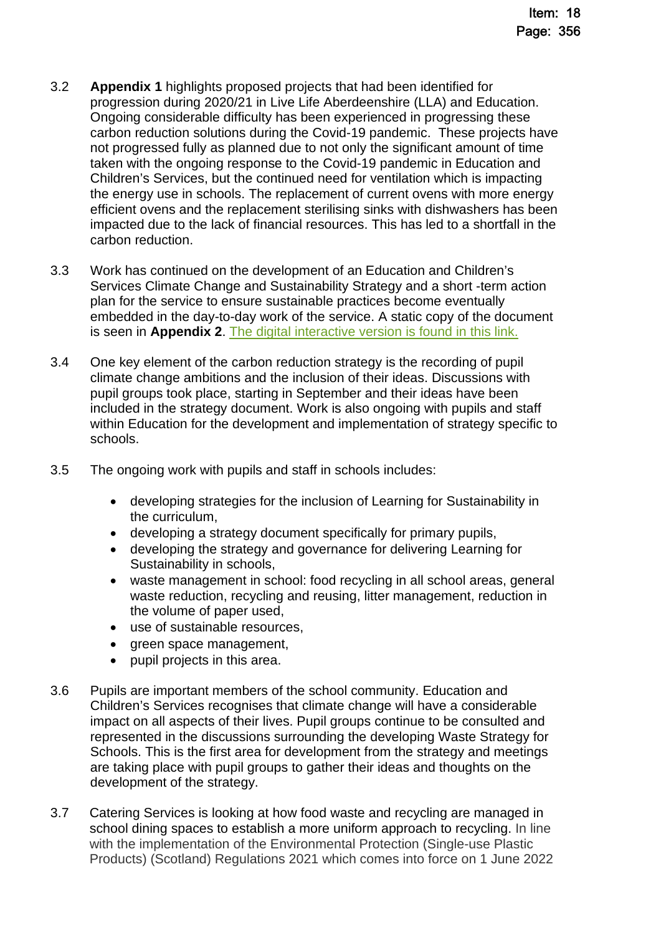- 3.2 **Appendix 1** highlights proposed projects that had been identified for progression during 2020/21 in Live Life Aberdeenshire (LLA) and Education. Ongoing considerable difficulty has been experienced in progressing these carbon reduction solutions during the Covid-19 pandemic. These projects have not progressed fully as planned due to not only the significant amount of time taken with the ongoing response to the Covid-19 pandemic in Education and Children's Services, but the continued need for ventilation which is impacting the energy use in schools. The replacement of current ovens with more energy efficient ovens and the replacement sterilising sinks with dishwashers has been impacted due to the lack of financial resources. This has led to a shortfall in the carbon reduction.
- 3.3 Work has continued on the development of an Education and Children's Services Climate Change and Sustainability Strategy and a short -term action plan for the service to ensure sustainable practices become eventually embedded in the day-to-day work of the service. A static copy of the document is seen in **Appendix 2**. [The digital interactive version is found in this link.](https://www.thinglink.com/scene/1464574308054466562)
- 3.4 One key element of the carbon reduction strategy is the recording of pupil climate change ambitions and the inclusion of their ideas. Discussions with pupil groups took place, starting in September and their ideas have been included in the strategy document. Work is also ongoing with pupils and staff within Education for the development and implementation of strategy specific to schools.
- 3.5 The ongoing work with pupils and staff in schools includes:
	- developing strategies for the inclusion of Learning for Sustainability in the curriculum,
	- developing a strategy document specifically for primary pupils,
	- developing the strategy and governance for delivering Learning for Sustainability in schools,
	- waste management in school: food recycling in all school areas, general waste reduction, recycling and reusing, litter management, reduction in the volume of paper used,
	- use of sustainable resources,
	- green space management,
	- pupil projects in this area.
- 3.6 Pupils are important members of the school community. Education and Children's Services recognises that climate change will have a considerable impact on all aspects of their lives. Pupil groups continue to be consulted and represented in the discussions surrounding the developing Waste Strategy for Schools. This is the first area for development from the strategy and meetings are taking place with pupil groups to gather their ideas and thoughts on the development of the strategy.
- 3.7 Catering Services is looking at how food waste and recycling are managed in school dining spaces to establish a more uniform approach to recycling. In line with the implementation of the Environmental Protection (Single-use Plastic Products) (Scotland) Regulations 2021 which comes into force on 1 June 2022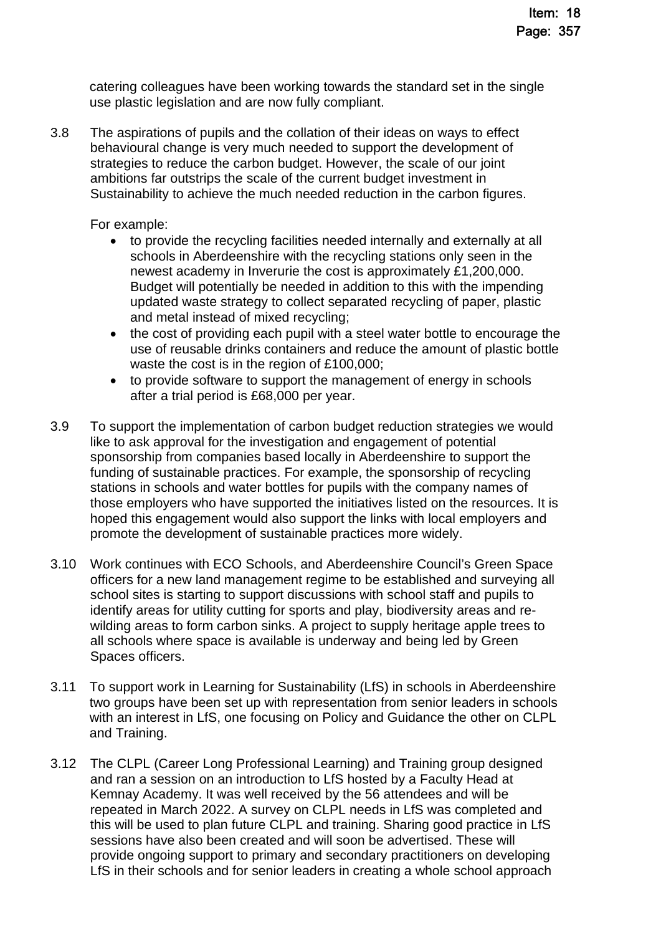catering colleagues have been working towards the standard set in the single use plastic legislation and are now fully compliant.

3.8 The aspirations of pupils and the collation of their ideas on ways to effect behavioural change is very much needed to support the development of strategies to reduce the carbon budget. However, the scale of our joint ambitions far outstrips the scale of the current budget investment in Sustainability to achieve the much needed reduction in the carbon figures.

For example:

- to provide the recycling facilities needed internally and externally at all schools in Aberdeenshire with the recycling stations only seen in the newest academy in Inverurie the cost is approximately £1,200,000. Budget will potentially be needed in addition to this with the impending updated waste strategy to collect separated recycling of paper, plastic and metal instead of mixed recycling;
- the cost of providing each pupil with a steel water bottle to encourage the use of reusable drinks containers and reduce the amount of plastic bottle waste the cost is in the region of £100,000;
- to provide software to support the management of energy in schools after a trial period is £68,000 per year.
- 3.9 To support the implementation of carbon budget reduction strategies we would like to ask approval for the investigation and engagement of potential sponsorship from companies based locally in Aberdeenshire to support the funding of sustainable practices. For example, the sponsorship of recycling stations in schools and water bottles for pupils with the company names of those employers who have supported the initiatives listed on the resources. It is hoped this engagement would also support the links with local employers and promote the development of sustainable practices more widely.
- 3.10 Work continues with ECO Schools, and Aberdeenshire Council's Green Space officers for a new land management regime to be established and surveying all school sites is starting to support discussions with school staff and pupils to identify areas for utility cutting for sports and play, biodiversity areas and rewilding areas to form carbon sinks. A project to supply heritage apple trees to all schools where space is available is underway and being led by Green Spaces officers.
- 3.11 To support work in Learning for Sustainability (LfS) in schools in Aberdeenshire two groups have been set up with representation from senior leaders in schools with an interest in LfS, one focusing on Policy and Guidance the other on CLPL and Training.
- 3.12 The CLPL (Career Long Professional Learning) and Training group designed and ran a session on an introduction to LfS hosted by a Faculty Head at Kemnay Academy. It was well received by the 56 attendees and will be repeated in March 2022. A survey on CLPL needs in LfS was completed and this will be used to plan future CLPL and training. Sharing good practice in LfS sessions have also been created and will soon be advertised. These will provide ongoing support to primary and secondary practitioners on developing LfS in their schools and for senior leaders in creating a whole school approach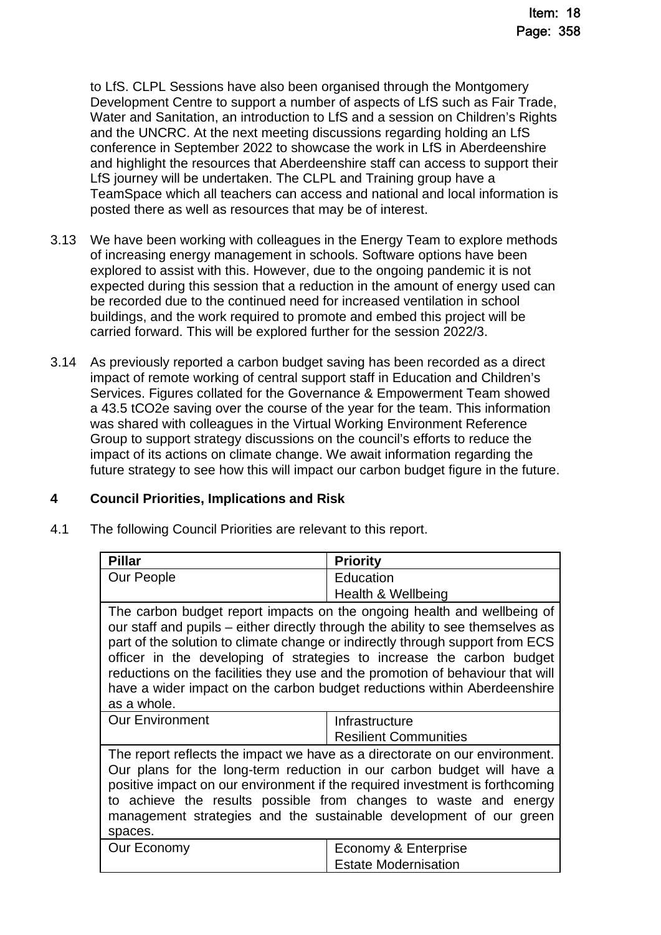to LfS. CLPL Sessions have also been organised through the Montgomery Development Centre to support a number of aspects of LfS such as Fair Trade, Water and Sanitation, an introduction to LfS and a session on Children's Rights and the UNCRC. At the next meeting discussions regarding holding an LfS conference in September 2022 to showcase the work in LfS in Aberdeenshire and highlight the resources that Aberdeenshire staff can access to support their LfS journey will be undertaken. The CLPL and Training group have a TeamSpace which all teachers can access and national and local information is posted there as well as resources that may be of interest.

- 3.13 We have been working with colleagues in the Energy Team to explore methods of increasing energy management in schools. Software options have been explored to assist with this. However, due to the ongoing pandemic it is not expected during this session that a reduction in the amount of energy used can be recorded due to the continued need for increased ventilation in school buildings, and the work required to promote and embed this project will be carried forward. This will be explored further for the session 2022/3.
- 3.14 As previously reported a carbon budget saving has been recorded as a direct impact of remote working of central support staff in Education and Children's Services. Figures collated for the Governance & Empowerment Team showed a 43.5 tCO2e saving over the course of the year for the team. This information was shared with colleagues in the Virtual Working Environment Reference Group to support strategy discussions on the council's efforts to reduce the impact of its actions on climate change. We await information regarding the future strategy to see how this will impact our carbon budget figure in the future.

### **4 Council Priorities, Implications and Risk**

4.1 The following Council Priorities are relevant to this report.

| <b>Pillar</b>          | <b>Priority</b>                                                                                                                                                                                                                                                                                                                                                                                                                                                                    |
|------------------------|------------------------------------------------------------------------------------------------------------------------------------------------------------------------------------------------------------------------------------------------------------------------------------------------------------------------------------------------------------------------------------------------------------------------------------------------------------------------------------|
| Our People             | Education                                                                                                                                                                                                                                                                                                                                                                                                                                                                          |
|                        | Health & Wellbeing                                                                                                                                                                                                                                                                                                                                                                                                                                                                 |
| as a whole.            | The carbon budget report impacts on the ongoing health and wellbeing of<br>our staff and pupils – either directly through the ability to see themselves as<br>part of the solution to climate change or indirectly through support from ECS<br>officer in the developing of strategies to increase the carbon budget<br>reductions on the facilities they use and the promotion of behaviour that will<br>have a wider impact on the carbon budget reductions within Aberdeenshire |
| <b>Our Environment</b> | Infrastructure<br><b>Resilient Communities</b>                                                                                                                                                                                                                                                                                                                                                                                                                                     |
| spaces.                | The report reflects the impact we have as a directorate on our environment.<br>Our plans for the long-term reduction in our carbon budget will have a<br>positive impact on our environment if the required investment is forthcoming<br>to achieve the results possible from changes to waste and energy<br>management strategies and the sustainable development of our green                                                                                                    |
| Our Economy            | Economy & Enterprise<br><b>Estate Modernisation</b>                                                                                                                                                                                                                                                                                                                                                                                                                                |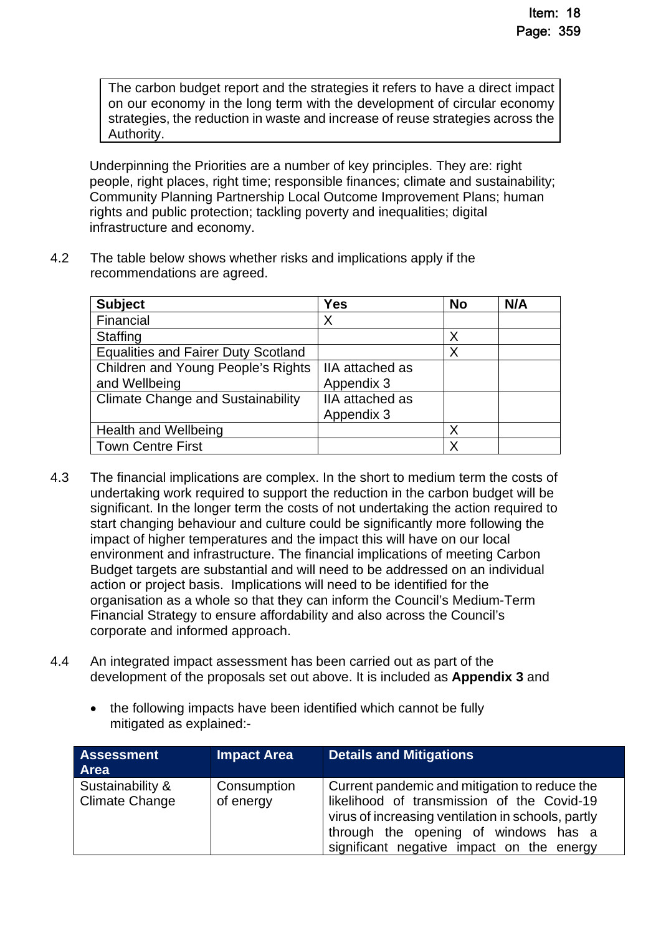The carbon budget report and the strategies it refers to have a direct impact on our economy in the long term with the development of circular economy strategies, the reduction in waste and increase of reuse strategies across the Authority.

Underpinning the Priorities are a number of key principles. They are: right people, right places, right time; responsible finances; climate and sustainability; Community Planning Partnership Local Outcome Improvement Plans; human rights and public protection; tackling poverty and inequalities; digital infrastructure and economy.

4.2 The table below shows whether risks and implications apply if the recommendations are agreed.

| <b>Subject</b>                             | Yes             | <b>No</b> | N/A |
|--------------------------------------------|-----------------|-----------|-----|
| Financial                                  | X               |           |     |
| <b>Staffing</b>                            |                 | Χ         |     |
| <b>Equalities and Fairer Duty Scotland</b> |                 | Χ         |     |
| Children and Young People's Rights         | IIA attached as |           |     |
| and Wellbeing                              | Appendix 3      |           |     |
| <b>Climate Change and Sustainability</b>   | IIA attached as |           |     |
|                                            | Appendix 3      |           |     |
| <b>Health and Wellbeing</b>                |                 | Χ         |     |
| <b>Town Centre First</b>                   |                 | Χ         |     |

- 4.3 The financial implications are complex. In the short to medium term the costs of undertaking work required to support the reduction in the carbon budget will be significant. In the longer term the costs of not undertaking the action required to start changing behaviour and culture could be significantly more following the impact of higher temperatures and the impact this will have on our local environment and infrastructure. The financial implications of meeting Carbon Budget targets are substantial and will need to be addressed on an individual action or project basis. Implications will need to be identified for the organisation as a whole so that they can inform the Council's Medium-Term Financial Strategy to ensure affordability and also across the Council's corporate and informed approach.
- 4.4 An integrated impact assessment has been carried out as part of the development of the proposals set out above. It is included as **Appendix 3** and
	- the following impacts have been identified which cannot be fully mitigated as explained:-

| <b>Assessment</b><br>Area                 | Impact Area              | <b>Details and Mitigations</b>                                                                                                                                                                                                         |
|-------------------------------------------|--------------------------|----------------------------------------------------------------------------------------------------------------------------------------------------------------------------------------------------------------------------------------|
| Sustainability &<br><b>Climate Change</b> | Consumption<br>of energy | Current pandemic and mitigation to reduce the<br>likelihood of transmission of the Covid-19<br>virus of increasing ventilation in schools, partly<br>through the opening of windows has a<br>significant negative impact on the energy |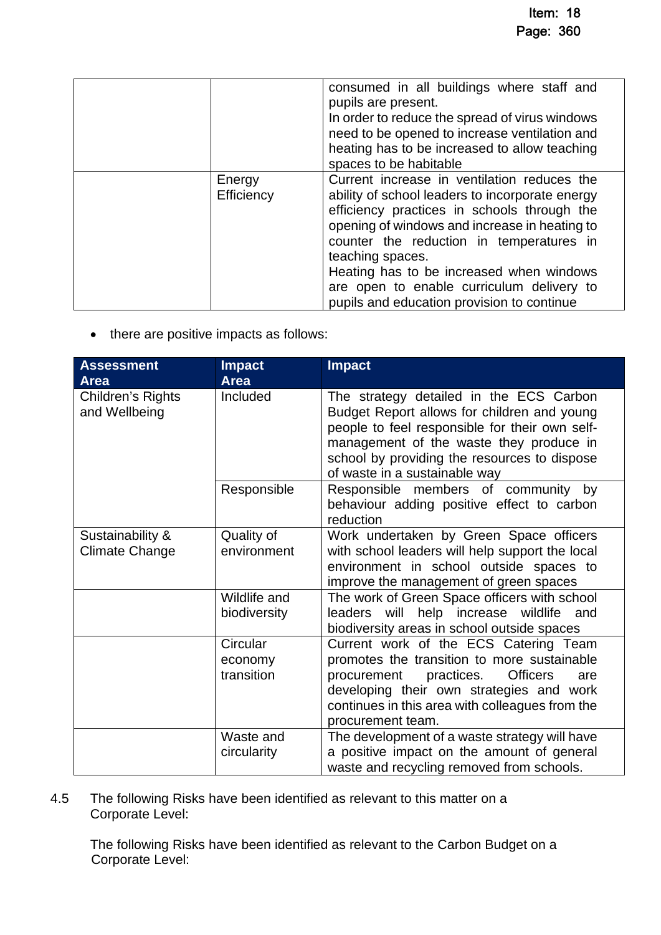|                      | consumed in all buildings where staff and<br>pupils are present.<br>In order to reduce the spread of virus windows<br>need to be opened to increase ventilation and<br>heating has to be increased to allow teaching<br>spaces to be habitable                                                                                                                                                        |
|----------------------|-------------------------------------------------------------------------------------------------------------------------------------------------------------------------------------------------------------------------------------------------------------------------------------------------------------------------------------------------------------------------------------------------------|
| Energy<br>Efficiency | Current increase in ventilation reduces the<br>ability of school leaders to incorporate energy<br>efficiency practices in schools through the<br>opening of windows and increase in heating to<br>counter the reduction in temperatures in<br>teaching spaces.<br>Heating has to be increased when windows<br>are open to enable curriculum delivery to<br>pupils and education provision to continue |

• there are positive impacts as follows:

| <b>Assessment</b><br><b>Area</b>          | <b>Impact</b><br><b>Area</b>      | <b>Impact</b>                                                                                                                                                                                                                                                        |
|-------------------------------------------|-----------------------------------|----------------------------------------------------------------------------------------------------------------------------------------------------------------------------------------------------------------------------------------------------------------------|
| Children's Rights<br>and Wellbeing        | Included                          | The strategy detailed in the ECS Carbon<br>Budget Report allows for children and young<br>people to feel responsible for their own self-<br>management of the waste they produce in<br>school by providing the resources to dispose<br>of waste in a sustainable way |
|                                           | Responsible                       | Responsible members of community by<br>behaviour adding positive effect to carbon<br>reduction                                                                                                                                                                       |
| Sustainability &<br><b>Climate Change</b> | Quality of<br>environment         | Work undertaken by Green Space officers<br>with school leaders will help support the local<br>environment in school outside spaces to<br>improve the management of green spaces                                                                                      |
|                                           | Wildlife and<br>biodiversity      | The work of Green Space officers with school<br>leaders will help increase wildlife and<br>biodiversity areas in school outside spaces                                                                                                                               |
|                                           | Circular<br>economy<br>transition | Current work of the ECS Catering Team<br>promotes the transition to more sustainable<br><b>Officers</b><br>practices.<br>procurement<br>are<br>developing their own strategies and work<br>continues in this area with colleagues from the<br>procurement team.      |
|                                           | Waste and<br>circularity          | The development of a waste strategy will have<br>a positive impact on the amount of general<br>waste and recycling removed from schools.                                                                                                                             |

4.5 The following Risks have been identified as relevant to this matter on a Corporate Level:

The following Risks have been identified as relevant to the Carbon Budget on a Corporate Level: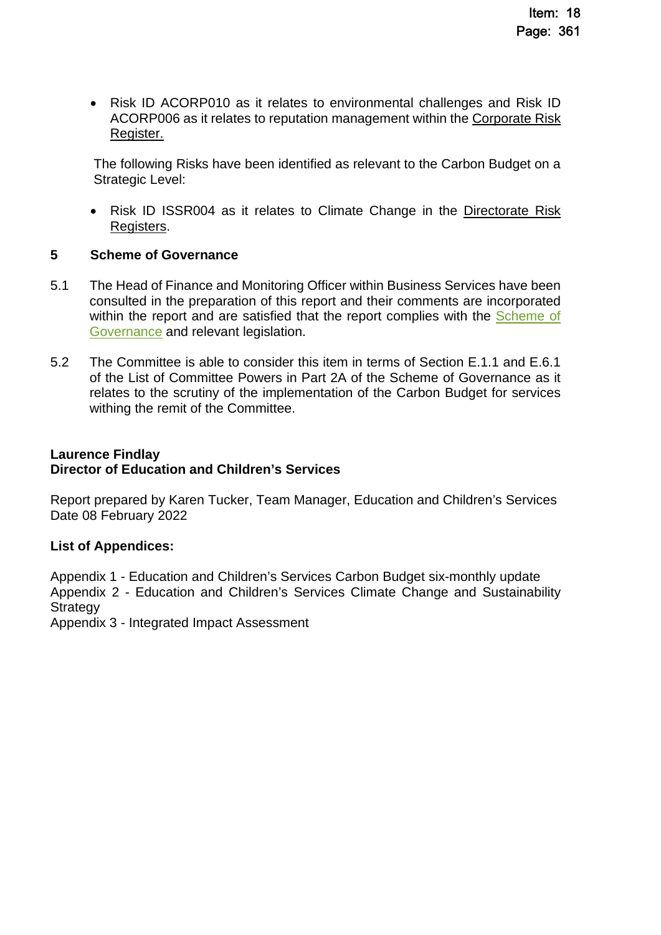Risk ID ACORP010 as it relates to environmental challenges and Risk ID ACORP006 as it relates to reputation management within the [Corporate Risk](http://www.aberdeenshire.gov.uk/council-and-democracy/about-us/plans-and-reports/)  [Register.](http://www.aberdeenshire.gov.uk/council-and-democracy/about-us/plans-and-reports/) 

The following Risks have been identified as relevant to the Carbon Budget on a Strategic Level:

• Risk ID ISSR004 as it relates to Climate Change in the Directorate Risk [Registers.](http://www.aberdeenshire.gov.uk/council-and-democracy/about-us/plans-and-reports/) 

### **5 Scheme of Governance**

- 5.1 The Head of Finance and Monitoring Officer within Business Services have been consulted in the preparation of this report and their comments are incorporated within the report and are satisfied that the report complies with the Scheme of [Governance and relevant legislation.](https://www.aberdeenshire.gov.uk/council-and-democracy/scheme-of-governance/)
- 5.2 The Committee is able to consider this item in terms of Section E.1.1 and E.6.1 of the List of Committee Powers in Part 2A of the Scheme of Governance as it relates to the scrutiny of the implementation of the Carbon Budget for services withing the remit of the Committee.

#### **Laurence Findlay Director of Education and Children's Services**

Report prepared by Karen Tucker, Team Manager, Education and Children's Services Date 08 February 2022

### **List of Appendices:**

Appendix 1 - Education and Children's Services Carbon Budget six-monthly update Appendix 2 - Education and Children's Services Climate Change and Sustainability **Strategy** 

Appendix 3 - Integrated Impact Assessment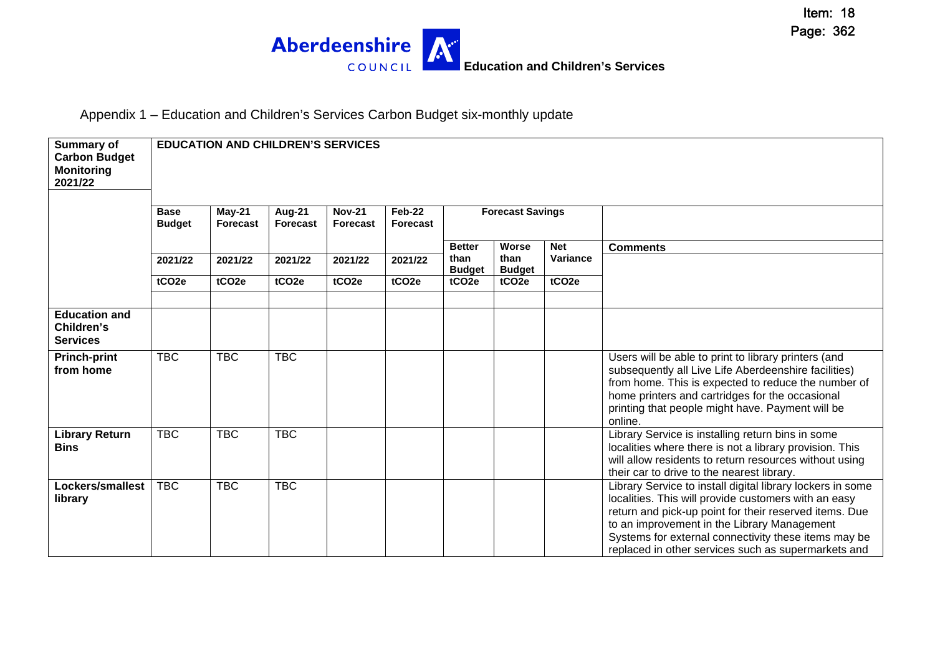

Appendix 1 – Education and Children's Services Carbon Budget six-monthly update

| Summary of<br><b>Carbon Budget</b><br><b>Monitoring</b><br>2021/22 |                              | <b>EDUCATION AND CHILDREN'S SERVICES</b> |                                  |                                  |                                  |                                    |                                    |                        |                                                                                                                                                                                                                                                                                                                                            |
|--------------------------------------------------------------------|------------------------------|------------------------------------------|----------------------------------|----------------------------------|----------------------------------|------------------------------------|------------------------------------|------------------------|--------------------------------------------------------------------------------------------------------------------------------------------------------------------------------------------------------------------------------------------------------------------------------------------------------------------------------------------|
|                                                                    | <b>Base</b><br><b>Budget</b> | $May-21$<br><b>Forecast</b>              | <b>Aug-21</b><br><b>Forecast</b> | <b>Nov-21</b><br><b>Forecast</b> | <b>Feb-22</b><br><b>Forecast</b> |                                    | <b>Forecast Savings</b>            |                        |                                                                                                                                                                                                                                                                                                                                            |
|                                                                    | 2021/22                      | 2021/22                                  | 2021/22                          | 2021/22                          | 2021/22                          | <b>Better</b><br>than              | Worse<br>than                      | <b>Net</b><br>Variance | <b>Comments</b>                                                                                                                                                                                                                                                                                                                            |
|                                                                    | tCO <sub>2e</sub>            | tCO <sub>2e</sub>                        | tCO <sub>2e</sub>                | tCO <sub>2e</sub>                | tCO <sub>2e</sub>                | <b>Budget</b><br>tCO <sub>2e</sub> | <b>Budget</b><br>tCO <sub>2e</sub> | tCO <sub>2e</sub>      |                                                                                                                                                                                                                                                                                                                                            |
| <b>Education and</b><br>Children's<br><b>Services</b>              |                              |                                          |                                  |                                  |                                  |                                    |                                    |                        |                                                                                                                                                                                                                                                                                                                                            |
| <b>Princh-print</b><br>from home                                   | <b>TBC</b>                   | <b>TBC</b>                               | <b>TBC</b>                       |                                  |                                  |                                    |                                    |                        | Users will be able to print to library printers (and<br>subsequently all Live Life Aberdeenshire facilities)<br>from home. This is expected to reduce the number of<br>home printers and cartridges for the occasional<br>printing that people might have. Payment will be<br>online.                                                      |
| <b>Library Return</b><br><b>Bins</b>                               | <b>TBC</b>                   | <b>TBC</b>                               | <b>TBC</b>                       |                                  |                                  |                                    |                                    |                        | Library Service is installing return bins in some<br>localities where there is not a library provision. This<br>will allow residents to return resources without using<br>their car to drive to the nearest library.                                                                                                                       |
| Lockers/smallest<br>library                                        | <b>TBC</b>                   | <b>TBC</b>                               | <b>TBC</b>                       |                                  |                                  |                                    |                                    |                        | Library Service to install digital library lockers in some<br>localities. This will provide customers with an easy<br>return and pick-up point for their reserved items. Due<br>to an improvement in the Library Management<br>Systems for external connectivity these items may be<br>replaced in other services such as supermarkets and |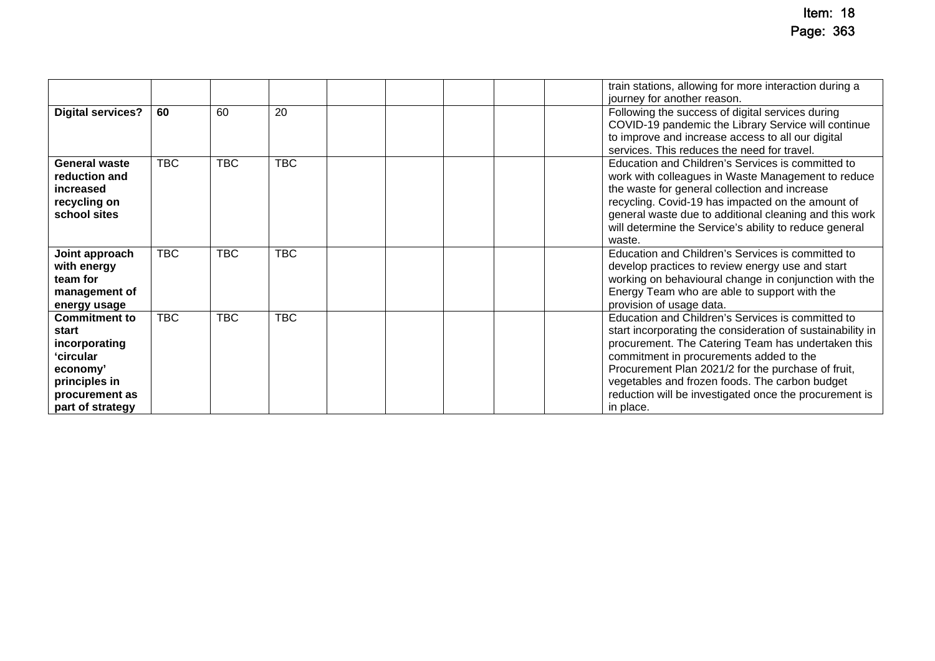|                                                                                                                                |            |            |            |  | train stations, allowing for more interaction during a                                                                                                                                                                                                                                                                                                                                          |
|--------------------------------------------------------------------------------------------------------------------------------|------------|------------|------------|--|-------------------------------------------------------------------------------------------------------------------------------------------------------------------------------------------------------------------------------------------------------------------------------------------------------------------------------------------------------------------------------------------------|
|                                                                                                                                |            |            |            |  | journey for another reason.                                                                                                                                                                                                                                                                                                                                                                     |
| <b>Digital services?</b>                                                                                                       | 60         | 60         | 20         |  | Following the success of digital services during<br>COVID-19 pandemic the Library Service will continue<br>to improve and increase access to all our digital<br>services. This reduces the need for travel.                                                                                                                                                                                     |
| <b>General waste</b><br>reduction and<br>increased<br>recycling on<br>school sites                                             | <b>TBC</b> | <b>TBC</b> | <b>TBC</b> |  | Education and Children's Services is committed to<br>work with colleagues in Waste Management to reduce<br>the waste for general collection and increase<br>recycling. Covid-19 has impacted on the amount of<br>general waste due to additional cleaning and this work<br>will determine the Service's ability to reduce general<br>waste.                                                     |
| Joint approach<br>with energy<br>team for<br>management of<br>energy usage                                                     | <b>TBC</b> | <b>TBC</b> | <b>TBC</b> |  | Education and Children's Services is committed to<br>develop practices to review energy use and start<br>working on behavioural change in conjunction with the<br>Energy Team who are able to support with the<br>provision of usage data.                                                                                                                                                      |
| <b>Commitment to</b><br>start<br>incorporating<br>ʻcircular<br>economy'<br>principles in<br>procurement as<br>part of strategy | <b>TBC</b> | <b>TBC</b> | <b>TBC</b> |  | Education and Children's Services is committed to<br>start incorporating the consideration of sustainability in<br>procurement. The Catering Team has undertaken this<br>commitment in procurements added to the<br>Procurement Plan 2021/2 for the purchase of fruit,<br>vegetables and frozen foods. The carbon budget<br>reduction will be investigated once the procurement is<br>in place. |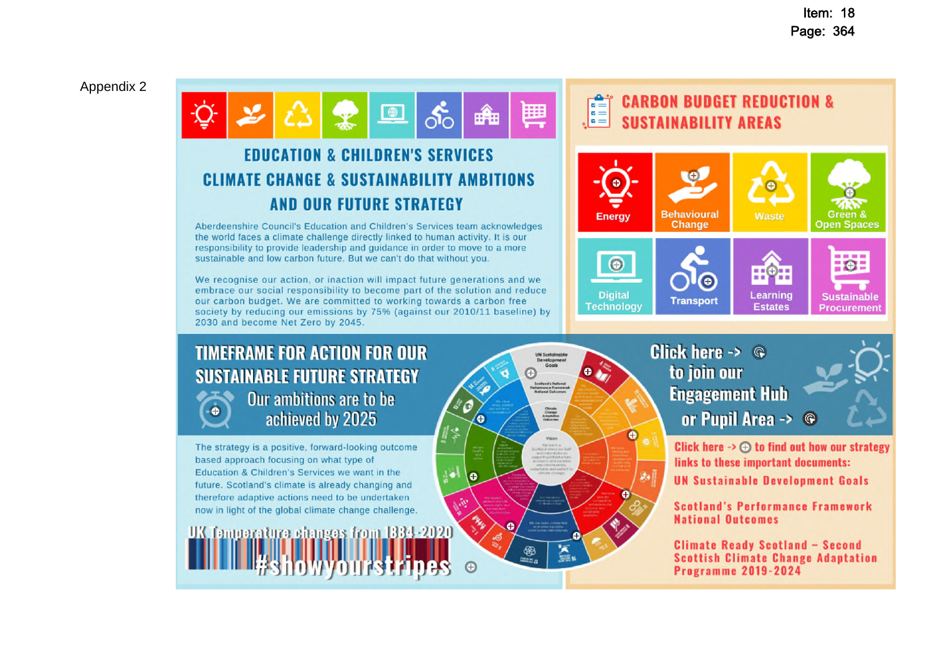Item: 18 Page: 364

#### Appendix 2

 $\bigoplus$ **EDUCATION & CHILDREN'S SERVICES CLIMATE CHANGE & SUSTAINABILITY AMBITIONS** 

# **AND OUR FUTURE STRATEGY**

Aberdeenshire Council's Education and Children's Services team acknowledges the world faces a climate challenge directly linked to human activity. It is our responsibility to provide leadership and quidance in order to move to a more sustainable and low carbon future. But we can't do that without you.

We recognise our action, or inaction will impact future generations and we embrace our social responsibility to become part of the solution and reduce our carbon budget. We are committed to working towards a carbon free society by reducing our emissions by 75% (against our 2010/11 baseline) by 2030 and become Net Zero by 2045.

# **TIMEFRAME FOR ACTION FOR OUR SUSTAINABLE FUTURE STRATEGY**



Our ambitions are to be achieved by 2025

The strategy is a positive, forward-looking outcome based approach focusing on what type of Education & Children's Services we want in the future. Scotland's climate is already changing and therefore adaptive actions need to be undertaken now in light of the global climate change challenge.

UK Temperature changes from 1334-2020

#### $\begin{array}{c}\n\bullet \\
\bullet \\
\bullet \\
\bullet\n\end{array}$ **CARBON BUDGET REDUCTION & SUSTAINABILITY AREAS**





Developmen

Scolland's Nations<br>Feriamance Frames<br>National Outcome

Climate<br>Change<br>Adaptation

88<br>====

医黑

ó

**e** 

 $\odot$ 

اخا

 $\bullet$  .  $\bullet$ 

 $\ddot{\bm{\Theta}}$ 



Click here  $\rightarrow$   $\oplus$  to find out how our strategy links to these important documents: **UN Sustainable Development Goals** 

**Scotland's Performance Framework National Outcomes** 

**Climate Ready Scotland - Second Scottish Climate Change Adaptation Programme 2019-2024**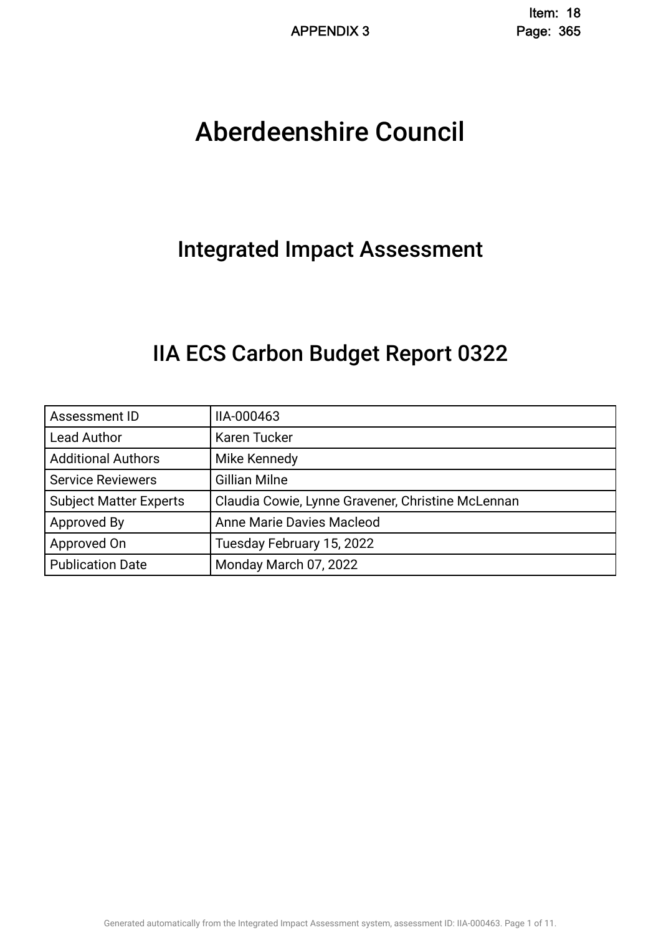# Aberdeenshire Council .

# Integrated Impact Assessment.

# IIA ECS Carbon Budget Report 0322.

| Assessment ID                 | IIA-000463                                        |
|-------------------------------|---------------------------------------------------|
| <b>Lead Author</b>            | Karen Tucker                                      |
| <b>Additional Authors</b>     | Mike Kennedy                                      |
| <b>Service Reviewers</b>      | <b>Gillian Milne</b>                              |
| <b>Subject Matter Experts</b> | Claudia Cowie, Lynne Gravener, Christine McLennan |
| Approved By                   | Anne Marie Davies Macleod                         |
| Approved On                   | Tuesday February 15, 2022                         |
| <b>Publication Date</b>       | Monday March 07, 2022                             |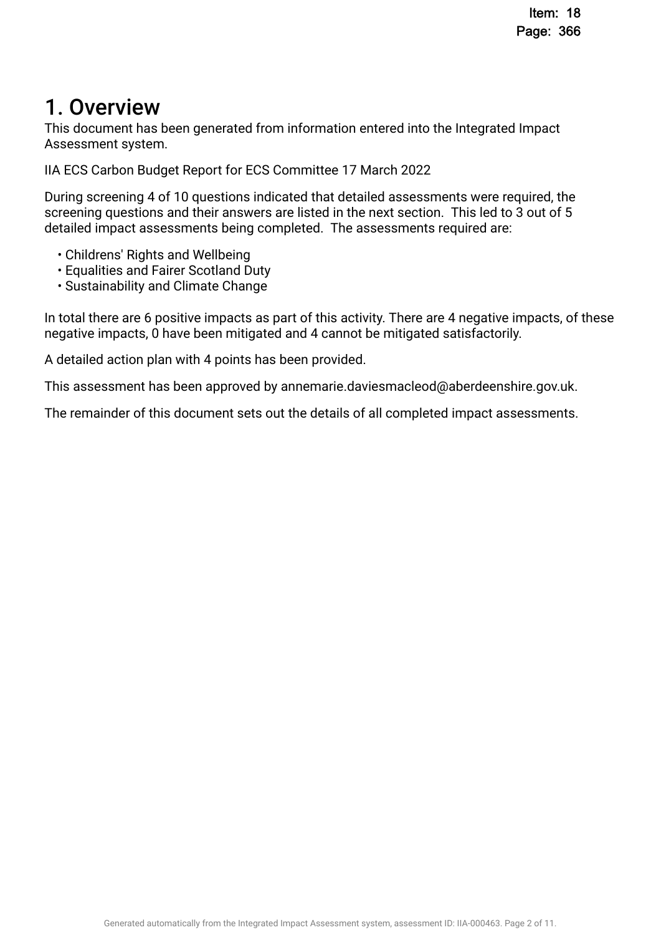# 1. Overview.

This document has been generated from information entered into the Integrated Impact Assessment system.

IIA ECS Carbon Budget Report for ECS Committee 17 March 2022

During screening 4 of 10 questions indicated that detailed assessments were required, the screening questions and their answers are listed in the next section. This led to 3 out of 5 detailed impact assessments being completed. The assessments required are:

- Childrens' Rights and Wellbeing
- Equalities and Fairer Scotland Duty
- Sustainability and Climate Change

In total there are 6 positive impacts as part of this activity. There are 4 negative impacts, of these negative impacts, 0 have been mitigated and 4 cannot be mitigated satisfactorily.

A detailed action plan with 4 points has been provided.

This assessment has been approved by annemarie.daviesmacleod@aberdeenshire.gov.uk.

The remainder of this document sets out the details of all completed impact assessments.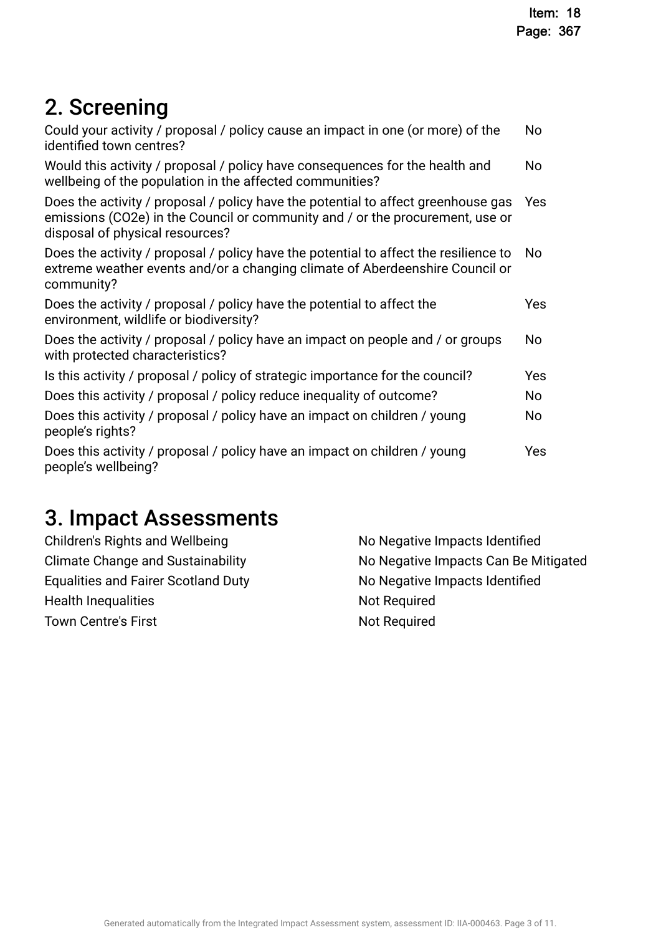# 2. Screening

| No             |
|----------------|
| <b>No</b>      |
| <b>Yes</b>     |
| N <sub>o</sub> |
| Yes            |
| No             |
| Yes            |
| No             |
| No             |
| Yes            |
|                |

# 3. Impact Assessments

| Children's Rights and Wellbeing            | No Negative Impacts Identified       |
|--------------------------------------------|--------------------------------------|
| <b>Climate Change and Sustainability</b>   | No Negative Impacts Can Be Mitigated |
| <b>Equalities and Fairer Scotland Duty</b> | No Negative Impacts Identified       |
| <b>Health Inequalities</b>                 | <b>Not Required</b>                  |
| <b>Town Centre's First</b>                 | <b>Not Required</b>                  |
|                                            |                                      |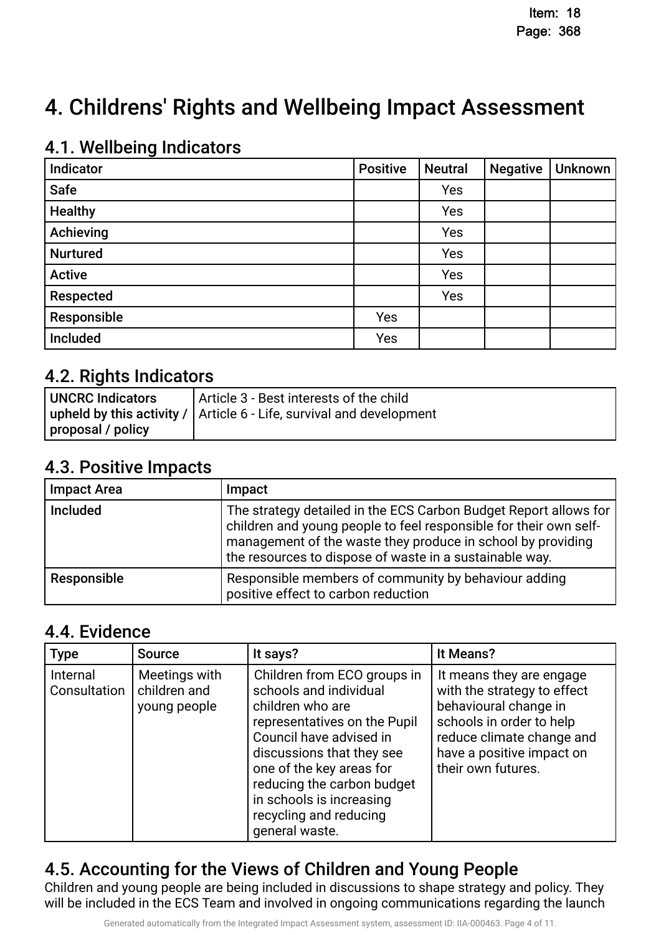# 4. Childrens' Rights and Wellbeing Impact Assessment

## **4.1. Wellbeing Indicators**

| Indicator       | <b>Positive</b> | <b>Neutral</b> | <b>Negative</b> | Unknown |
|-----------------|-----------------|----------------|-----------------|---------|
| <b>Safe</b>     |                 | Yes            |                 |         |
| <b>Healthy</b>  |                 | Yes            |                 |         |
| Achieving       |                 | Yes            |                 |         |
| <b>Nurtured</b> |                 | Yes            |                 |         |
| <b>Active</b>   |                 | Yes            |                 |         |
| Respected       |                 | Yes            |                 |         |
| Responsible     | Yes             |                |                 |         |
| Included        | Yes             |                |                 |         |

## 4.2. Rights Indicators.

| UNCRC Indicators  | Article 3 - Best interests of the child                                      |
|-------------------|------------------------------------------------------------------------------|
|                   | upheld by this activity / $\vert$ Article 6 - Life, survival and development |
| proposal / policy |                                                                              |

### 4.3. Positive Impacts.

| <b>Impact Area</b> | Impact                                                                                                                                                                                                                                                          |
|--------------------|-----------------------------------------------------------------------------------------------------------------------------------------------------------------------------------------------------------------------------------------------------------------|
| <b>Included</b>    | The strategy detailed in the ECS Carbon Budget Report allows for<br>children and young people to feel responsible for their own self-<br>management of the waste they produce in school by providing<br>the resources to dispose of waste in a sustainable way. |
| Responsible        | Responsible members of community by behaviour adding<br>positive effect to carbon reduction                                                                                                                                                                     |

### 4.4. Evidence

| <b>Type</b>              | <b>Source</b>                                 | It says?                                                                                                                                                                                                                                                                                            | It Means?                                                                                                                                                                                    |
|--------------------------|-----------------------------------------------|-----------------------------------------------------------------------------------------------------------------------------------------------------------------------------------------------------------------------------------------------------------------------------------------------------|----------------------------------------------------------------------------------------------------------------------------------------------------------------------------------------------|
| Internal<br>Consultation | Meetings with<br>children and<br>young people | Children from ECO groups in<br>schools and individual<br>children who are<br>representatives on the Pupil<br>Council have advised in<br>discussions that they see<br>one of the key areas for<br>reducing the carbon budget<br>in schools is increasing<br>recycling and reducing<br>general waste. | It means they are engage<br>with the strategy to effect<br>behavioural change in<br>schools in order to help<br>reduce climate change and<br>have a positive impact on<br>their own futures. |

# 4.5. Accounting for the Views of Children and Young People.

Children and young people are being included in discussions to shape strategy and policy. They will be included in the ECS Team and involved in ongoing communications regarding the launch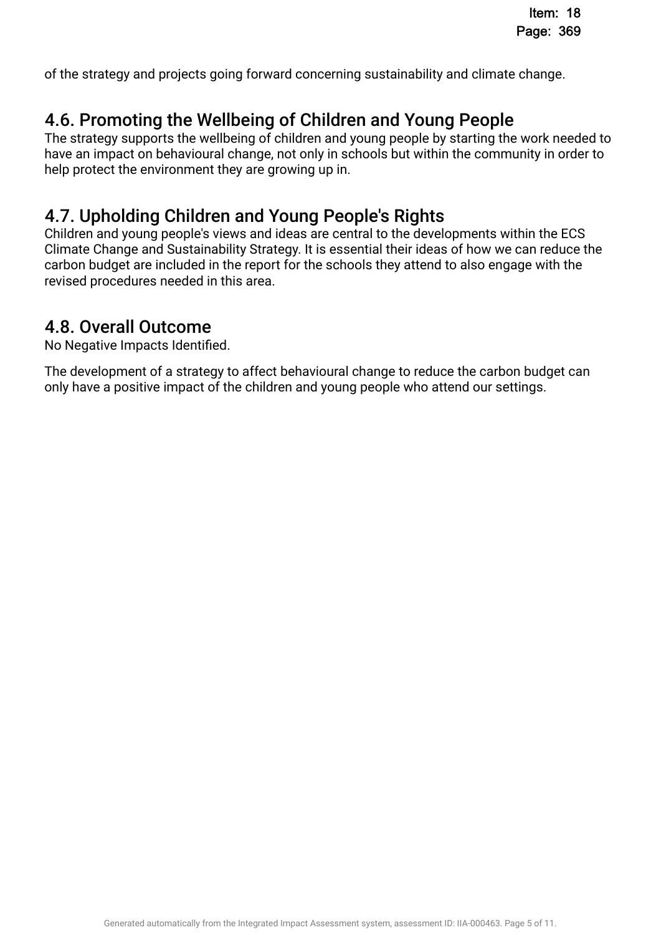of the strategy and projects going forward concerning sustainability and climate change.

## 4.6. Promoting the Wellbeing of Children and Young People.

The strategy supports the wellbeing of children and young people by starting the work needed to have an impact on behavioural change, not only in schools but within the community in order to help protect the environment they are growing up in.

## 4.7. Upholding Children and Young People's Rights.

Children and young people's views and ideas are central to the developments within the ECS Climate Change and Sustainability Strategy. It is essential their ideas of how we can reduce the carbon budget are included in the report for the schools they attend to also engage with the revised procedures needed in this area.

# 4.8. Overall Outcome.

No Negative Impacts Identifed.

The development of a strategy to affect behavioural change to reduce the carbon budget can only have a positive impact of the children and young people who attend our settings.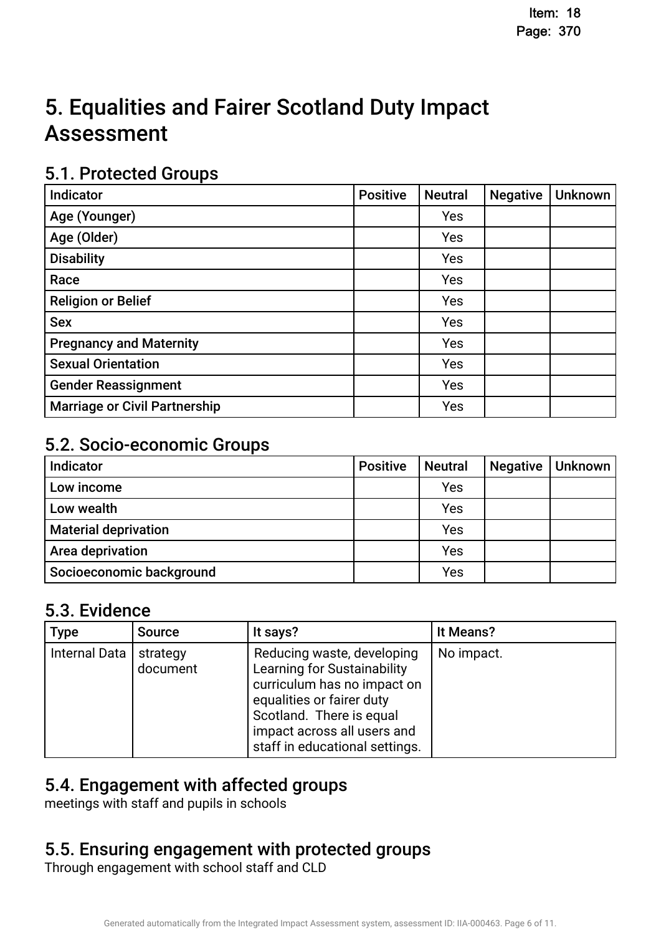# 5. Equalities and Fairer Scotland Duty Impact **Assessment**

## 5.1. Protected Groups

| Indicator                            | <b>Positive</b> | <b>Neutral</b> | <b>Negative</b> | <b>Unknown</b> |
|--------------------------------------|-----------------|----------------|-----------------|----------------|
| Age (Younger)                        |                 | Yes            |                 |                |
| Age (Older)                          |                 | Yes            |                 |                |
| <b>Disability</b>                    |                 | Yes            |                 |                |
| Race                                 |                 | <b>Yes</b>     |                 |                |
| <b>Religion or Belief</b>            |                 | Yes            |                 |                |
| <b>Sex</b>                           |                 | Yes            |                 |                |
| <b>Pregnancy and Maternity</b>       |                 | Yes            |                 |                |
| <b>Sexual Orientation</b>            |                 | Yes            |                 |                |
| <b>Gender Reassignment</b>           |                 | Yes            |                 |                |
| <b>Marriage or Civil Partnership</b> |                 | Yes            |                 |                |

## 5.2. Socio-economic Groups

| Indicator                   | <b>Positive</b> | <b>Neutral</b> | <b>Negative</b> | Unknown |
|-----------------------------|-----------------|----------------|-----------------|---------|
| Low income                  |                 | Yes            |                 |         |
| Low wealth                  |                 | Yes            |                 |         |
| <b>Material deprivation</b> |                 | Yes            |                 |         |
| Area deprivation            |                 | Yes            |                 |         |
| Socioeconomic background    |                 | Yes            |                 |         |

## 5.3. Evidence

| <b>Type</b>   | <b>Source</b>        | It says?                                                                                                                                                                                                           | It Means?  |
|---------------|----------------------|--------------------------------------------------------------------------------------------------------------------------------------------------------------------------------------------------------------------|------------|
| Internal Data | strategy<br>document | Reducing waste, developing<br>Learning for Sustainability<br>curriculum has no impact on<br>equalities or fairer duty<br>Scotland. There is equal<br>impact across all users and<br>staff in educational settings. | No impact. |

# 5.4. Engagement with affected groups.

meetings with staff and pupils in schools

# 5.5. Ensuring engagement with protected groups.

Through engagement with school staff and CLD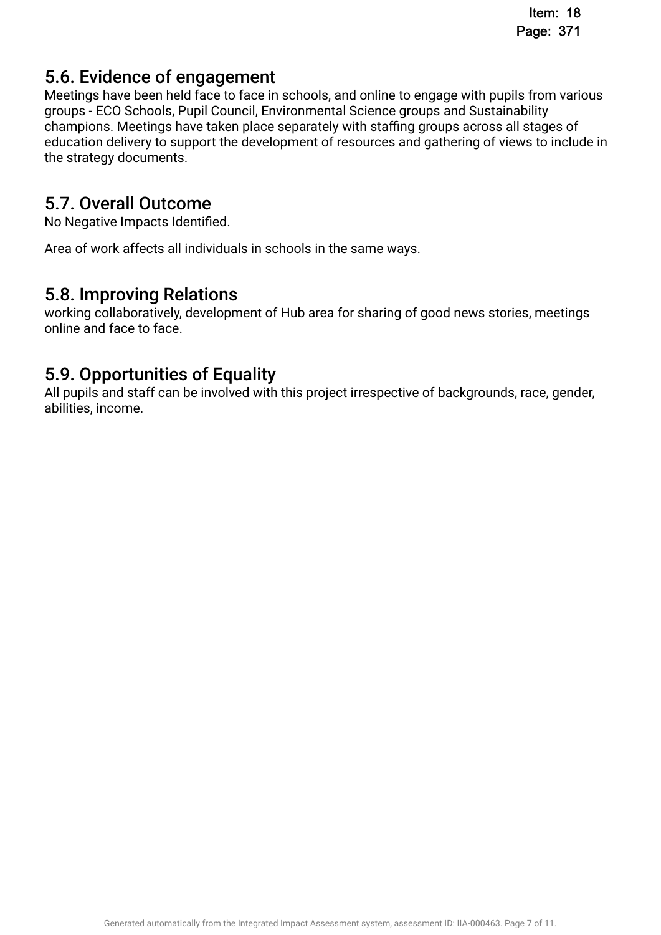# 5.6. Evidence of engagement.

Meetings have been held face to face in schools, and online to engage with pupils from various groups - ECO Schools, Pupil Council, Environmental Science groups and Sustainability champions. Meetings have taken place separately with staffing groups across all stages of education delivery to support the development of resources and gathering of views to include in the strategy documents.

## 5.7. Overall Outcome.

No Negative Impacts Identifed.

Area of work affects all individuals in schools in the same ways.

### 5.8. Improving Relations.

working collaboratively, development of Hub area for sharing of good news stories, meetings online and face to face.

## 5.9. Opportunities of Equality.

All pupils and staff can be involved with this project irrespective of backgrounds, race, gender, abilities, income.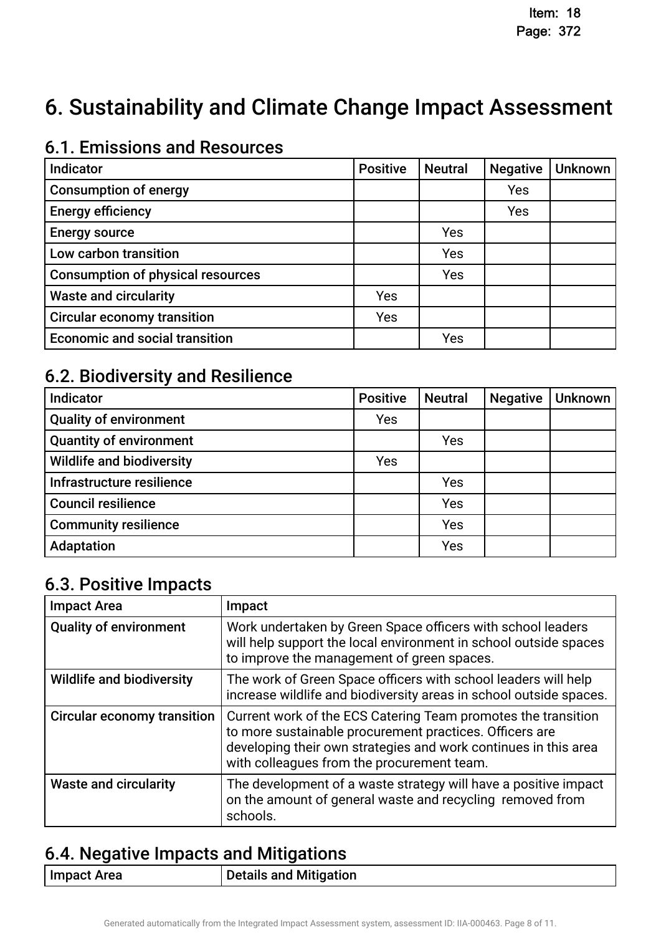# 6. Sustainability and Climate Change Impact Assessment

# 6.1. Emissions and Resources

| Indicator                                | <b>Positive</b> | <b>Neutral</b> | <b>Negative</b> | <b>Unknown</b> |
|------------------------------------------|-----------------|----------------|-----------------|----------------|
| <b>Consumption of energy</b>             |                 |                | Yes             |                |
| <b>Energy efficiency</b>                 |                 |                | Yes             |                |
| <b>Energy source</b>                     |                 | Yes            |                 |                |
| Low carbon transition                    |                 | Yes            |                 |                |
| <b>Consumption of physical resources</b> |                 | Yes            |                 |                |
| <b>Waste and circularity</b>             | Yes             |                |                 |                |
| <b>Circular economy transition</b>       | Yes             |                |                 |                |
| <b>Economic and social transition</b>    |                 | Yes            |                 |                |

# 6.2. Biodiversity and Resilience

| Indicator                        | <b>Positive</b> | <b>Neutral</b> | <b>Negative</b> | <b>Unknown</b> |
|----------------------------------|-----------------|----------------|-----------------|----------------|
| <b>Quality of environment</b>    | Yes             |                |                 |                |
| <b>Quantity of environment</b>   |                 | Yes            |                 |                |
| <b>Wildlife and biodiversity</b> | Yes             |                |                 |                |
| Infrastructure resilience        |                 | Yes            |                 |                |
| <b>Council resilience</b>        |                 | Yes            |                 |                |
| <b>Community resilience</b>      |                 | Yes            |                 |                |
| Adaptation                       |                 | Yes            |                 |                |

## 6.3. Positive Impacts

| <b>Impact Area</b>                 | Impact                                                                                                                                                                                                                                    |
|------------------------------------|-------------------------------------------------------------------------------------------------------------------------------------------------------------------------------------------------------------------------------------------|
| <b>Quality of environment</b>      | Work undertaken by Green Space officers with school leaders<br>will help support the local environment in school outside spaces<br>to improve the management of green spaces.                                                             |
| <b>Wildlife and biodiversity</b>   | The work of Green Space officers with school leaders will help<br>increase wildlife and biodiversity areas in school outside spaces.                                                                                                      |
| <b>Circular economy transition</b> | Current work of the ECS Catering Team promotes the transition<br>to more sustainable procurement practices. Officers are<br>developing their own strategies and work continues in this area<br>with colleagues from the procurement team. |
| <b>Waste and circularity</b>       | The development of a waste strategy will have a positive impact<br>on the amount of general waste and recycling removed from<br>schools.                                                                                                  |

# 6.4. Negative Impacts and Mitigations.

| Details and Mitigation |
|------------------------|
|                        |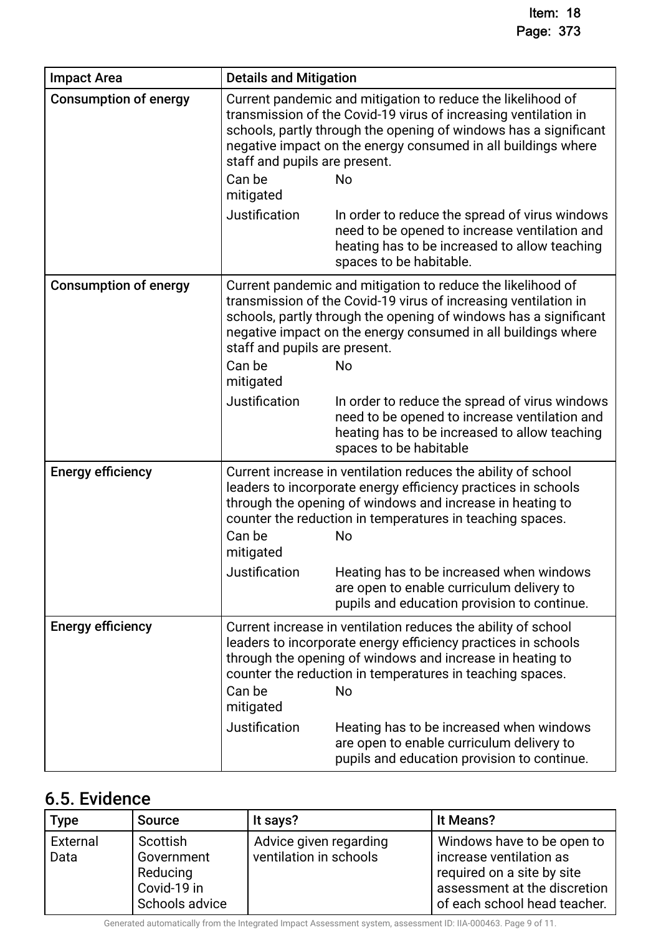| <b>Impact Area</b>           | <b>Details and Mitigation</b>                        |                                                                                                                                                                                                                                                                                  |
|------------------------------|------------------------------------------------------|----------------------------------------------------------------------------------------------------------------------------------------------------------------------------------------------------------------------------------------------------------------------------------|
| <b>Consumption of energy</b> | staff and pupils are present.<br>Can be<br>mitigated | Current pandemic and mitigation to reduce the likelihood of<br>transmission of the Covid-19 virus of increasing ventilation in<br>schools, partly through the opening of windows has a significant<br>negative impact on the energy consumed in all buildings where<br><b>No</b> |
|                              | Justification                                        | In order to reduce the spread of virus windows<br>need to be opened to increase ventilation and<br>heating has to be increased to allow teaching<br>spaces to be habitable.                                                                                                      |
| <b>Consumption of energy</b> | staff and pupils are present.<br>Can be<br>mitigated | Current pandemic and mitigation to reduce the likelihood of<br>transmission of the Covid-19 virus of increasing ventilation in<br>schools, partly through the opening of windows has a significant<br>negative impact on the energy consumed in all buildings where<br><b>No</b> |
|                              | Justification                                        | In order to reduce the spread of virus windows<br>need to be opened to increase ventilation and<br>heating has to be increased to allow teaching<br>spaces to be habitable                                                                                                       |
| <b>Energy efficiency</b>     | Can be<br>mitigated                                  | Current increase in ventilation reduces the ability of school<br>leaders to incorporate energy efficiency practices in schools<br>through the opening of windows and increase in heating to<br>counter the reduction in temperatures in teaching spaces.<br><b>No</b>            |
|                              | Justification                                        | Heating has to be increased when windows<br>are open to enable curriculum delivery to<br>pupils and education provision to continue.                                                                                                                                             |
| <b>Energy efficiency</b>     | Can be<br>mitigated                                  | Current increase in ventilation reduces the ability of school<br>leaders to incorporate energy efficiency practices in schools<br>through the opening of windows and increase in heating to<br>counter the reduction in temperatures in teaching spaces.<br>No                   |
|                              | Justification                                        | Heating has to be increased when windows<br>are open to enable curriculum delivery to<br>pupils and education provision to continue.                                                                                                                                             |

# 6.5. Evidence

| <b>Type</b>      | <b>Source</b>                                                       | It says?                                         | It Means?                                                                                                                                           |
|------------------|---------------------------------------------------------------------|--------------------------------------------------|-----------------------------------------------------------------------------------------------------------------------------------------------------|
| External<br>Data | Scottish<br>Government<br>Reducing<br>Covid-19 in<br>Schools advice | Advice given regarding<br>ventilation in schools | Windows have to be open to<br>increase ventilation as<br>required on a site by site<br>assessment at the discretion<br>of each school head teacher. |

Generated automatically from the Integrated Impact Assessment system, assessment ID: IIA-000463. Page 9 of 11.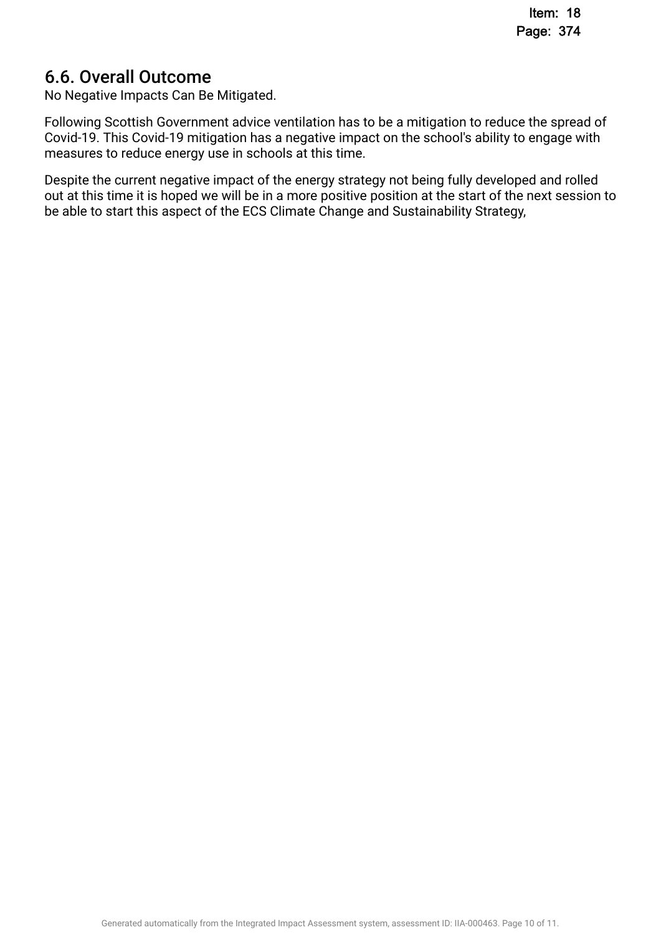## 6.6. Overall Outcome.

No Negative Impacts Can Be Mitigated.

Following Scottish Government advice ventilation has to be a mitigation to reduce the spread of Covid-19. This Covid-19 mitigation has a negative impact on the school's ability to engage with measures to reduce energy use in schools at this time.

Despite the current negative impact of the energy strategy not being fully developed and rolled out at this time it is hoped we will be in a more positive position at the start of the next session to be able to start this aspect of the ECS Climate Change and Sustainability Strategy,